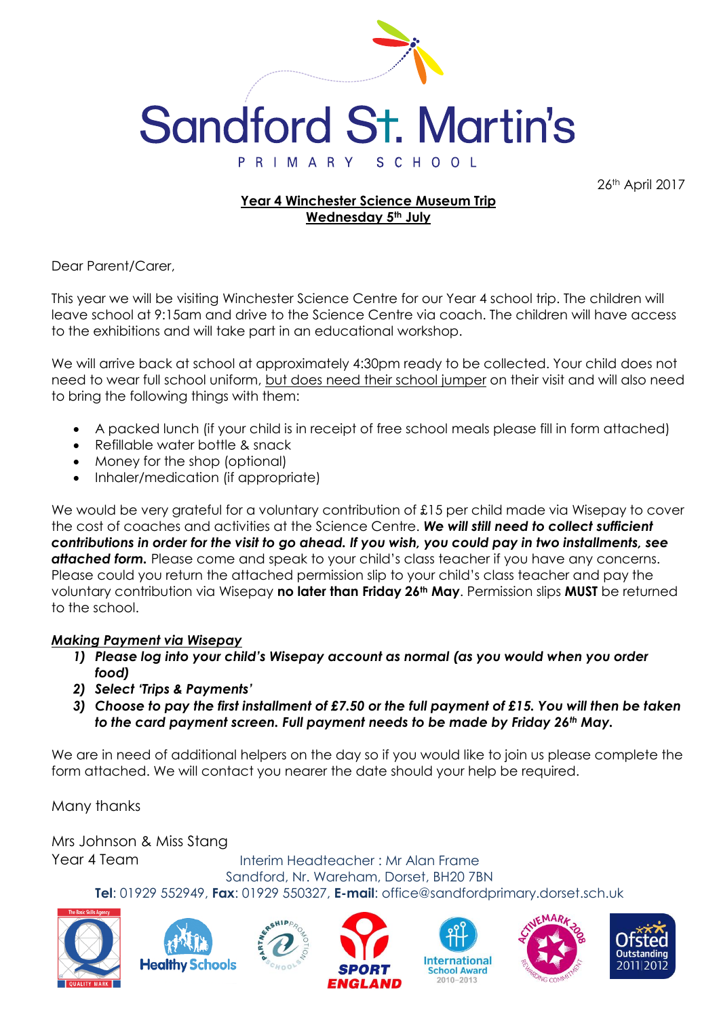

26th April 2017

### **Year 4 Winchester Science Museum Trip Wednesday 5th July**

Dear Parent/Carer,

This year we will be visiting Winchester Science Centre for our Year 4 school trip. The children will leave school at 9:15am and drive to the Science Centre via coach. The children will have access to the exhibitions and will take part in an educational workshop.

We will arrive back at school at approximately 4:30pm ready to be collected. Your child does not need to wear full school uniform, but does need their school jumper on their visit and will also need to bring the following things with them:

- A packed lunch (if your child is in receipt of free school meals please fill in form attached)
- Refillable water bottle & snack
- Money for the shop (optional)
- Inhaler/medication (if appropriate)

We would be very grateful for a voluntary contribution of £15 per child made via Wisepay to cover the cost of coaches and activities at the Science Centre. *We will still need to collect sufficient contributions in order for the visit to go ahead. If you wish, you could pay in two installments, see*  attached form. Please come and speak to your child's class teacher if you have any concerns. Please could you return the attached permission slip to your child's class teacher and pay the voluntary contribution via Wisepay **no later than Friday 26th May**. Permission slips **MUST** be returned to the school.

#### *Making Payment via Wisepay*

- *1) Please log into your child's Wisepay account as normal (as you would when you order food)*
- *2) Select 'Trips & Payments'*
- *3) Choose to pay the first installment of £7.50 or the full payment of £15. You will then be taken to the card payment screen. Full payment needs to be made by Friday 26th May.*

We are in need of additional helpers on the day so if you would like to join us please complete the form attached. We will contact you nearer the date should your help be required.

Many thanks

Mrs Johnson & Miss Stang Year 4 Team

Interim Headteacher : Mr Alan Frame Sandford, Nr. Wareham, Dorset, BH20 7BN

**Tel**: 01929 552949, **Fax**: 01929 550327, **E-mail**: office@sandfordprimary.dorset.sch.uk